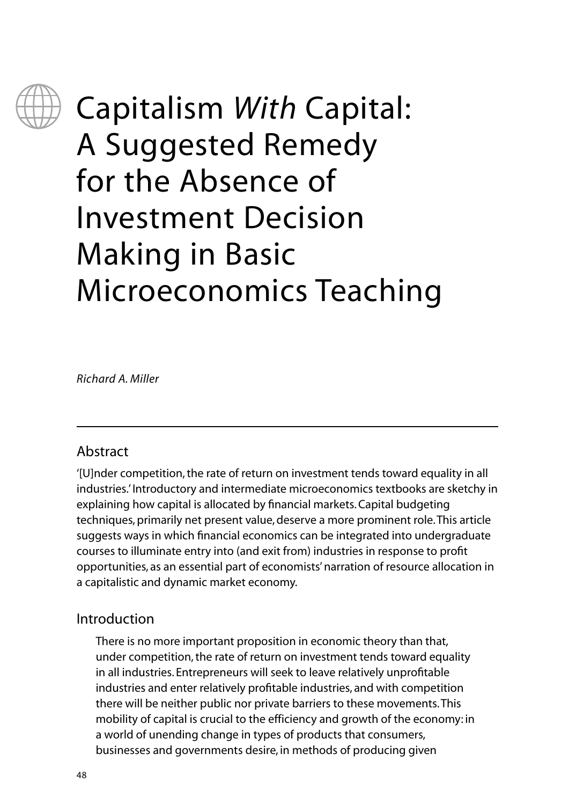

# Capitalism *With* Capital: A Suggested Remedy for the Absence of Investment Decision Making in Basic Microeconomics Teaching

*Richard A. Miller*

### Abstract

'[U]nder competition, the rate of return on investment tends toward equality in all industries.' Introductory and intermediate microeconomics textbooks are sketchy in explaining how capital is allocated by financial markets. Capital budgeting techniques, primarily net present value, deserve a more prominent role.This article suggests ways in which financial economics can be integrated into undergraduate courses to illuminate entry into (and exit from) industries in response to profit opportunities, as an essential part of economists' narration of resource allocation in a capitalistic and dynamic market economy.

#### Introduction

There is no more important proposition in economic theory than that, under competition, the rate of return on investment tends toward equality in all industries. Entrepreneurs will seek to leave relatively unprofitable industries and enter relatively profitable industries, and with competition there will be neither public nor private barriers to these movements.This mobility of capital is crucial to the efficiency and growth of the economy: in a world of unending change in types of products that consumers, businesses and governments desire, in methods of producing given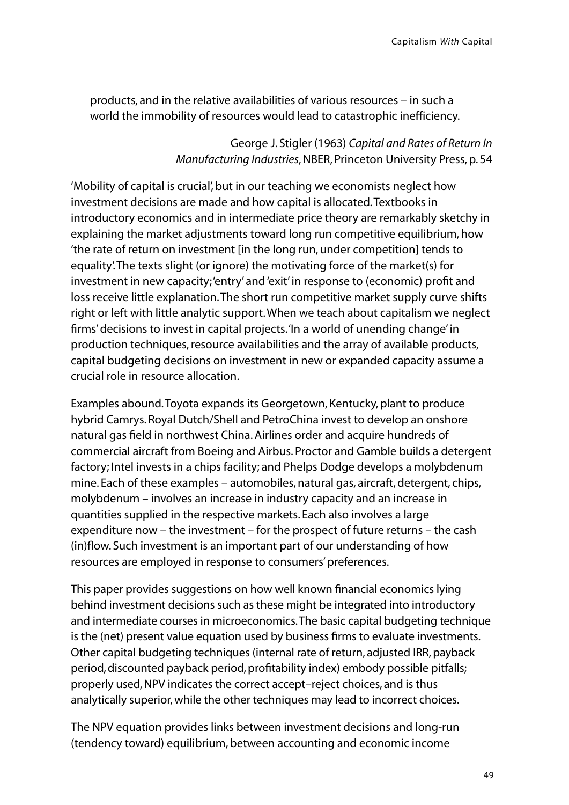products, and in the relative availabilities of various resources – in such a world the immobility of resources would lead to catastrophic inefficiency.

> George J. Stigler (1963) *Capital and Rates of Return In Manufacturing Industries*, NBER, Princeton University Press, p. 54

'Mobility of capital is crucial', but in our teaching we economists neglect how investment decisions are made and how capital is allocated.Textbooks in introductory economics and in intermediate price theory are remarkably sketchy in explaining the market adjustments toward long run competitive equilibrium, how 'the rate of return on investment [in the long run, under competition] tends to equality'.The texts slight (or ignore) the motivating force of the market(s) for investment in new capacity;'entry' and 'exit' in response to (economic) profit and loss receive little explanation.The short run competitive market supply curve shifts right or left with little analytic support.When we teach about capitalism we neglect firms' decisions to invest in capital projects.'In a world of unending change' in production techniques, resource availabilities and the array of available products, capital budgeting decisions on investment in new or expanded capacity assume a crucial role in resource allocation.

Examples abound.Toyota expands its Georgetown, Kentucky, plant to produce hybrid Camrys. Royal Dutch/Shell and PetroChina invest to develop an onshore natural gas field in northwest China. Airlines order and acquire hundreds of commercial aircraft from Boeing and Airbus. Proctor and Gamble builds a detergent factory; Intel invests in a chips facility; and Phelps Dodge develops a molybdenum mine. Each of these examples – automobiles, natural gas, aircraft, detergent, chips, molybdenum – involves an increase in industry capacity and an increase in quantities supplied in the respective markets. Each also involves a large expenditure now – the investment – for the prospect of future returns – the cash (in)flow. Such investment is an important part of our understanding of how resources are employed in response to consumers' preferences.

This paper provides suggestions on how well known financial economics lying behind investment decisions such as these might be integrated into introductory and intermediate courses in microeconomics.The basic capital budgeting technique is the (net) present value equation used by business firms to evaluate investments. Other capital budgeting techniques (internal rate of return, adjusted IRR, payback period, discounted payback period, profitability index) embody possible pitfalls; properly used, NPV indicates the correct accept–reject choices, and is thus analytically superior, while the other techniques may lead to incorrect choices.

The NPV equation provides links between investment decisions and long-run (tendency toward) equilibrium, between accounting and economic income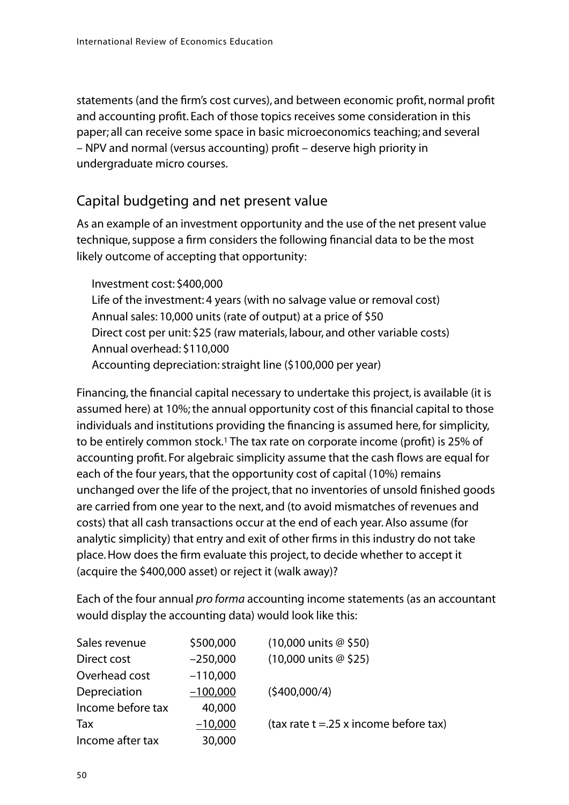statements (and the firm's cost curves), and between economic profit, normal profit and accounting profit. Each of those topics receives some consideration in this paper; all can receive some space in basic microeconomics teaching; and several – NPV and normal (versus accounting) profit – deserve high priority in undergraduate micro courses.

# Capital budgeting and net present value

As an example of an investment opportunity and the use of the net present value technique, suppose a firm considers the following financial data to be the most likely outcome of accepting that opportunity:

Investment cost: \$400,000 Life of the investment: 4 years (with no salvage value or removal cost) Annual sales: 10,000 units (rate of output) at a price of \$50 Direct cost per unit: \$25 (raw materials, labour, and other variable costs) Annual overhead: \$110,000 Accounting depreciation: straight line (\$100,000 per year)

Financing, the financial capital necessary to undertake this project, is available (it is assumed here) at 10%; the annual opportunity cost of this financial capital to those individuals and institutions providing the financing is assumed here, for simplicity, to be entirely common stock.1 The tax rate on corporate income (profit) is 25% of accounting profit. For algebraic simplicity assume that the cash flows are equal for each of the four years, that the opportunity cost of capital (10%) remains unchanged over the life of the project, that no inventories of unsold finished goods are carried from one year to the next, and (to avoid mismatches of revenues and costs) that all cash transactions occur at the end of each year. Also assume (for analytic simplicity) that entry and exit of other firms in this industry do not take place. How does the firm evaluate this project, to decide whether to accept it (acquire the \$400,000 asset) or reject it (walk away)?

Each of the four annual *pro forma* accounting income statements (as an accountant would display the accounting data) would look like this:

| Sales revenue     | \$500,000  | $(10,000 \text{ units} \ @ \$50)$         |
|-------------------|------------|-------------------------------------------|
| Direct cost       | $-250,000$ | $(10,000 \text{ units} \ @ \$25)$         |
| Overhead cost     | $-110,000$ |                                           |
| Depreciation      | $-100,000$ | (5400,000/4)                              |
| Income before tax | 40,000     |                                           |
| Tax               | $-10,000$  | (tax rate $t = 0.25$ x income before tax) |
| Income after tax  | 30,000     |                                           |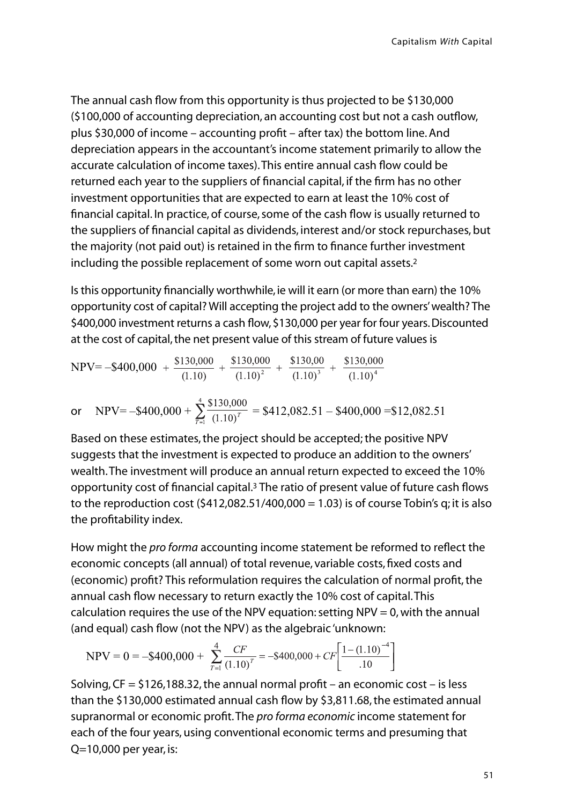The annual cash flow from this opportunity is thus projected to be \$130,000 (\$100,000 of accounting depreciation, an accounting cost but not a cash outflow, plus \$30,000 of income – accounting profit – after tax) the bottom line. And depreciation appears in the accountant's income statement primarily to allow the accurate calculation of income taxes).This entire annual cash flow could be returned each year to the suppliers of financial capital, if the firm has no other investment opportunities that are expected to earn at least the 10% cost of financial capital. In practice, of course, some of the cash flow is usually returned to the suppliers of financial capital as dividends, interest and/or stock repurchases, but the majority (not paid out) is retained in the firm to finance further investment including the possible replacement of some worn out capital assets.2

Is this opportunity financially worthwhile, ie will it earn (or more than earn) the 10% opportunity cost of capital? Will accepting the project add to the owners'wealth? The \$400,000 investment returns a cash flow, \$130,000 per year for four years. Discounted at the cost of capital, the net present value of this stream of future values is

$$
NPV = -\$400,000 + \frac{\$130,000}{(1.10)} + \frac{\$130,000}{(1.10)^2} + \frac{\$130,00}{(1.10)^3} + \frac{\$130,000}{(1.10)^4}
$$

or NPV = 
$$
-\$400,000 + \sum_{\tau=1}^{4} \frac{\$130,000}{(1.10)^{\tau}} = \$412,082.51 - \$400,000 = \$12,082.51
$$

Based on these estimates, the project should be accepted; the positive NPV suggests that the investment is expected to produce an addition to the owners' wealth.The investment will produce an annual return expected to exceed the 10% opportunity cost of financial capital.3 The ratio of present value of future cash flows to the reproduction cost  $(5412,082.51/400,000 = 1.03)$  is of course Tobin's q; it is also the profitability index.

How might the *pro forma* accounting income statement be reformed to reflect the economic concepts (all annual) of total revenue, variable costs, fixed costs and (economic) profit? This reformulation requires the calculation of normal profit, the annual cash flow necessary to return exactly the 10% cost of capital.This calculation requires the use of the NPV equation: setting NPV =  $0$ , with the annual (and equal) cash flow (not the NPV) as the algebraic 'unknown:

$$
NPV = 0 = -\$400,000 + \sum_{T=1}^{4} \frac{CF}{(1.10)^{T}} = -\$400,000 + CF \left[\frac{1 - (1.10)^{-4}}{10}\right]
$$

Solving,  $CF = $126,188.32$ , the annual normal profit – an economic cost – is less than the \$130,000 estimated annual cash flow by \$3,811.68, the estimated annual supranormal or economic profit.The *pro forma economic* income statement for each of the four years, using conventional economic terms and presuming that Q=10,000 per year, is: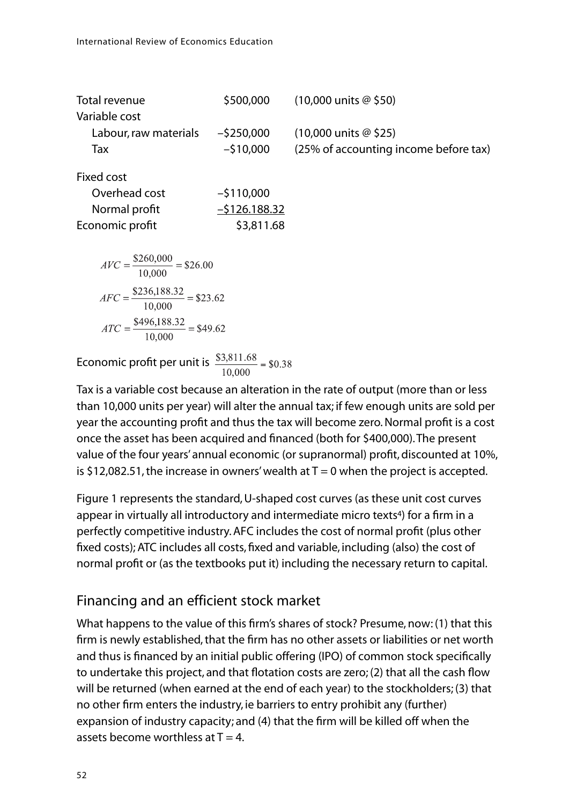| Total revenue         | \$500,000      | $(10,000 \text{ units} \ @ \$50)$       |
|-----------------------|----------------|-----------------------------------------|
| Variable cost         |                |                                         |
| Labour, raw materials | $-5250,000$    | $(10.000 \text{ units} \ @ \text{525})$ |
| Tax                   | $-510,000$     | (25% of accounting income before tax)   |
| Fixed cost            |                |                                         |
| Overhead cost         | $-5110,000$    |                                         |
| Normal profit         | $-5126.188.32$ |                                         |
| Economic profit       | \$3,811.68     |                                         |

$$
AVC = \frac{$260,000}{$10,000} = $26.00
$$

$$
AFC = \frac{$236,188.32}{$10,000} = $23.62
$$

$$
ATC = \frac{$496,188.32}{$10,000} = $49.62
$$

Economic profit per unit is  $\frac{$3,811.68}{10,000}$  = \$0.38

Tax is a variable cost because an alteration in the rate of output (more than or less than 10,000 units per year) will alter the annual tax; if few enough units are sold per year the accounting profit and thus the tax will become zero. Normal profit is a cost once the asset has been acquired and financed (both for \$400,000).The present value of the four years' annual economic (or supranormal) profit, discounted at 10%, is \$12,082.51, the increase in owners' wealth at  $T = 0$  when the project is accepted.

Figure 1 represents the standard, U-shaped cost curves (as these unit cost curves appear in virtually all introductory and intermediate micro texts<sup>4</sup>) for a firm in a perfectly competitive industry. AFC includes the cost of normal profit (plus other fixed costs); ATC includes all costs, fixed and variable, including (also) the cost of normal profit or (as the textbooks put it) including the necessary return to capital.

## Financing and an efficient stock market

What happens to the value of this firm's shares of stock? Presume, now: (1) that this firm is newly established, that the firm has no other assets or liabilities or net worth and thus is financed by an initial public offering (IPO) of common stock specifically to undertake this project, and that flotation costs are zero; (2) that all the cash flow will be returned (when earned at the end of each year) to the stockholders; (3) that no other firm enters the industry, ie barriers to entry prohibit any (further) expansion of industry capacity; and (4) that the firm will be killed off when the assets become worthless at  $T = 4$ .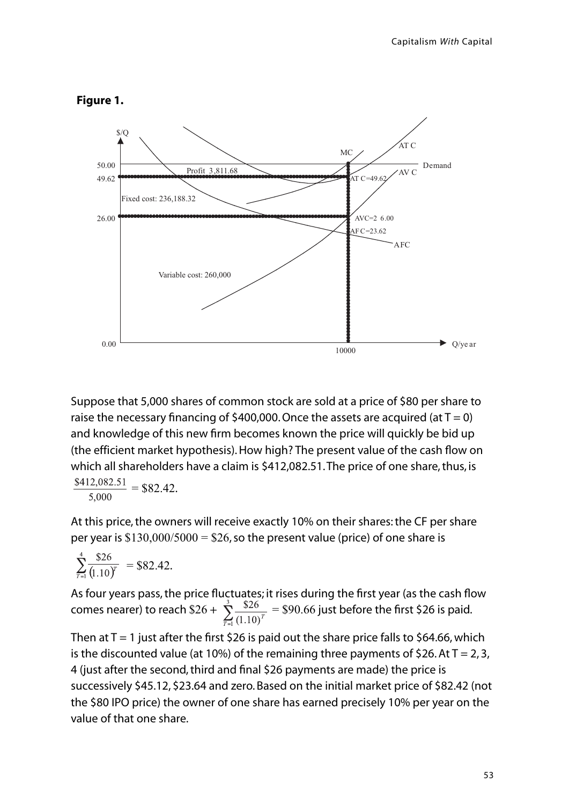

#### **Figure 1.**

Suppose that 5,000 shares of common stock are sold at a price of \$80 per share to raise the necessary financing of \$400,000. Once the assets are acquired (at  $T = 0$ ) and knowledge of this new firm becomes known the price will quickly be bid up (the efficient market hypothesis). How high? The present value of the cash flow on which all shareholders have a claim is \$412,082.51.The price of one share, thus, is \$412,082.51  $= $82.42$ 

$$
\overline{5,000}
$$

At this price, the owners will receive exactly 10% on their shares: the CF per share per year is  $$130,000/5000 = $26$ , so the present value (price) of one share is

$$
\sum_{T=1}^{4} \frac{$26}{(1.10)^{T}} = $82.42.
$$

As four years pass, the price fluctuates; it rises during the first year (as the cash flow comes nearer) to reach  $\$26 + \sum_{n=-\infty}^{\infty} 420 = \$90.66$  just before the first \$26 is paid.

Then at  $T = 1$  just after the first \$26 is paid out the share price falls to \$64.66, which is the discounted value (at 10%) of the remaining three payments of \$26. At  $T = 2, 3$ , 4 (just after the second, third and final \$26 payments are made) the price is successively \$45.12, \$23.64 and zero. Based on the initial market price of \$82.42 (not the \$80 IPO price) the owner of one share has earned precisely 10% per year on the value of that one share.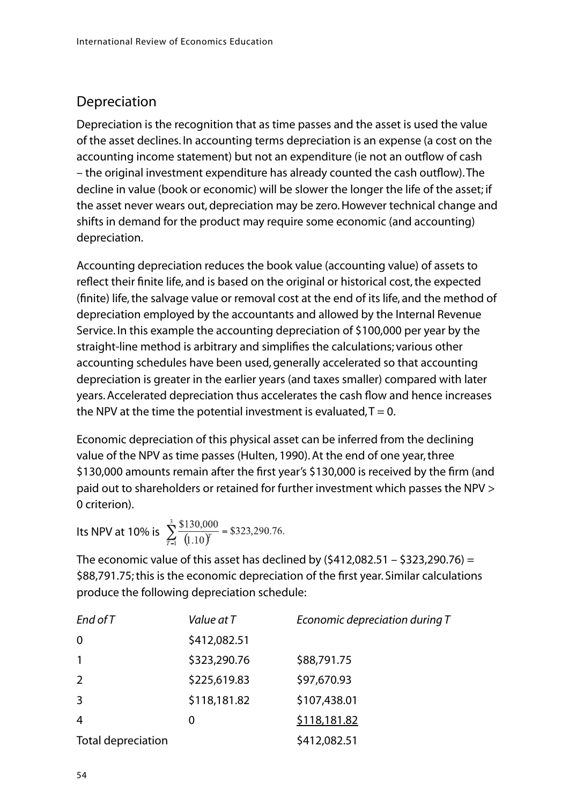# Depreciation

Depreciation is the recognition that as time passes and the asset is used the value of the asset declines. In accounting terms depreciation is an expense (a cost on the accounting income statement) but not an expenditure (ie not an outflow of cash – the original investment expenditure has already counted the cash outflow).The decline in value (book or economic) will be slower the longer the life of the asset; if the asset never wears out, depreciation may be zero. However technical change and shifts in demand for the product may require some economic (and accounting) depreciation.

Accounting depreciation reduces the book value (accounting value) of assets to reflect their finite life, and is based on the original or historical cost, the expected (finite) life, the salvage value or removal cost at the end of its life, and the method of depreciation employed by the accountants and allowed by the Internal Revenue Service. In this example the accounting depreciation of \$100,000 per year by the straight-line method is arbitrary and simplifies the calculations; various other accounting schedules have been used, generally accelerated so that accounting depreciation is greater in the earlier years (and taxes smaller) compared with later years. Accelerated depreciation thus accelerates the cash flow and hence increases the NPV at the time the potential investment is evaluated,  $T = 0$ .

Economic depreciation of this physical asset can be inferred from the declining value of the NPV as time passes (Hulten, 1990). At the end of one year, three \$130,000 amounts remain after the first year's \$130,000 is received by the firm (and paid out to shareholders or retained for further investment which passes the NPV > 0 criterion).

Its NPV at 10% is 
$$
\sum_{T=1}^{3} \frac{$130,000}{(1.10)^{T}} = $323,290.76.
$$

The economic value of this asset has declined by  $(5412,082.51 - 5323,290.76) =$ \$88,791.75;this is the economic depreciation of the first year. Similar calculations produce the following depreciation schedule:

| End of T           | Value at T   | Economic depreciation during T |
|--------------------|--------------|--------------------------------|
| $\Omega$           | \$412,082.51 |                                |
| $\mathbf{1}$       | \$323,290.76 | \$88,791.75                    |
| $\overline{2}$     | \$225,619.83 | \$97,670.93                    |
| 3                  | \$118,181.82 | \$107,438.01                   |
| $\overline{4}$     | 0            | \$118,181.82                   |
| Total depreciation |              | \$412,082.51                   |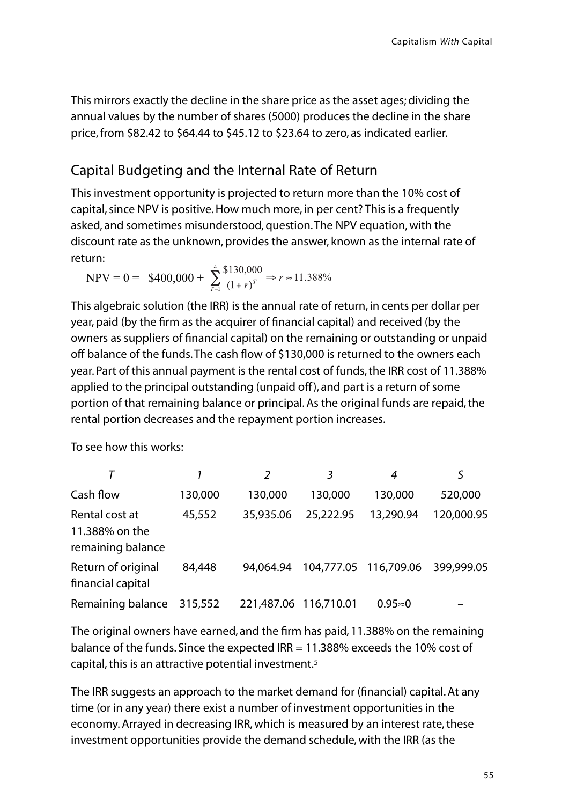This mirrors exactly the decline in the share price as the asset ages; dividing the annual values by the number of shares (5000) produces the decline in the share price, from \$82.42 to \$64.44 to \$45.12 to \$23.64 to zero, as indicated earlier.

# Capital Budgeting and the Internal Rate of Return

This investment opportunity is projected to return more than the 10% cost of capital, since NPV is positive. How much more, in per cent? This is a frequently asked, and sometimes misunderstood, question.The NPV equation, with the discount rate as the unknown, provides the answer, known as the internal rate of return:

$$
NPV = 0 = -\$400,000 + \sum_{\tau=1}^{4} \frac{\$130,000}{(1+r)^{\tau}} \Rightarrow r \approx 11.388\%
$$

This algebraic solution (the IRR) is the annual rate of return, in cents per dollar per year, paid (by the firm as the acquirer of financial capital) and received (by the owners as suppliers of financial capital) on the remaining or outstanding or unpaid off balance of the funds.The cash flow of \$130,000 is returned to the owners each year. Part of this annual payment is the rental cost of funds, the IRR cost of 11.388% applied to the principal outstanding (unpaid off), and part is a return of some portion of that remaining balance or principal. As the original funds are repaid, the rental portion decreases and the repayment portion increases.

To see how this works:

|                                                       |         |                       |           | 4                     |            |
|-------------------------------------------------------|---------|-----------------------|-----------|-----------------------|------------|
| Cash flow                                             | 130,000 | 130,000               | 130,000   | 130,000               | 520,000    |
| Rental cost at<br>11.388% on the<br>remaining balance | 45,552  | 35,935.06             | 25,222.95 | 13,290.94             | 120,000.95 |
| Return of original<br>financial capital               | 84,448  | 94.064.94             |           | 104,777.05 116,709.06 | 399,999.05 |
| Remaining balance                                     | 315,552 | 221,487.06 116,710.01 |           | $0.95 \approx 0$      |            |

The original owners have earned, and the firm has paid, 11.388% on the remaining balance of the funds. Since the expected IRR = 11.388% exceeds the 10% cost of capital, this is an attractive potential investment.5

The IRR suggests an approach to the market demand for (financial) capital. At any time (or in any year) there exist a number of investment opportunities in the economy. Arrayed in decreasing IRR, which is measured by an interest rate, these investment opportunities provide the demand schedule, with the IRR (as the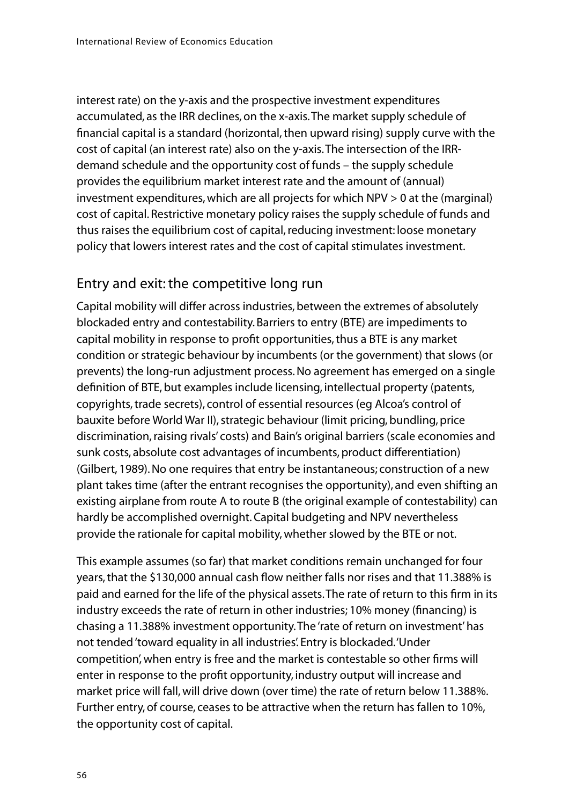interest rate) on the y-axis and the prospective investment expenditures accumulated, as the IRR declines, on the x-axis.The market supply schedule of financial capital is a standard (horizontal, then upward rising) supply curve with the cost of capital (an interest rate) also on the y-axis.The intersection of the IRRdemand schedule and the opportunity cost of funds – the supply schedule provides the equilibrium market interest rate and the amount of (annual) investment expenditures, which are all projects for which NPV > 0 at the (marginal) cost of capital. Restrictive monetary policy raises the supply schedule of funds and thus raises the equilibrium cost of capital, reducing investment: loose monetary policy that lowers interest rates and the cost of capital stimulates investment.

### Entry and exit: the competitive long run

Capital mobility will differ across industries, between the extremes of absolutely blockaded entry and contestability. Barriers to entry (BTE) are impediments to capital mobility in response to profit opportunities, thus a BTE is any market condition or strategic behaviour by incumbents (or the government) that slows (or prevents) the long-run adjustment process. No agreement has emerged on a single definition of BTE, but examples include licensing, intellectual property (patents, copyrights, trade secrets), control of essential resources (eg Alcoa's control of bauxite before World War II), strategic behaviour (limit pricing, bundling, price discrimination, raising rivals' costs) and Bain's original barriers (scale economies and sunk costs, absolute cost advantages of incumbents, product differentiation) (Gilbert, 1989). No one requires that entry be instantaneous; construction of a new plant takes time (after the entrant recognises the opportunity), and even shifting an existing airplane from route A to route B (the original example of contestability) can hardly be accomplished overnight. Capital budgeting and NPV nevertheless provide the rationale for capital mobility, whether slowed by the BTE or not.

This example assumes (so far) that market conditions remain unchanged for four years, that the \$130,000 annual cash flow neither falls nor rises and that 11.388% is paid and earned for the life of the physical assets.The rate of return to this firm in its industry exceeds the rate of return in other industries; 10% money (financing) is chasing a 11.388% investment opportunity.The 'rate of return on investment' has not tended 'toward equality in all industries'. Entry is blockaded.'Under competition', when entry is free and the market is contestable so other firms will enter in response to the profit opportunity, industry output will increase and market price will fall, will drive down (over time) the rate of return below 11.388%. Further entry, of course, ceases to be attractive when the return has fallen to 10%, the opportunity cost of capital.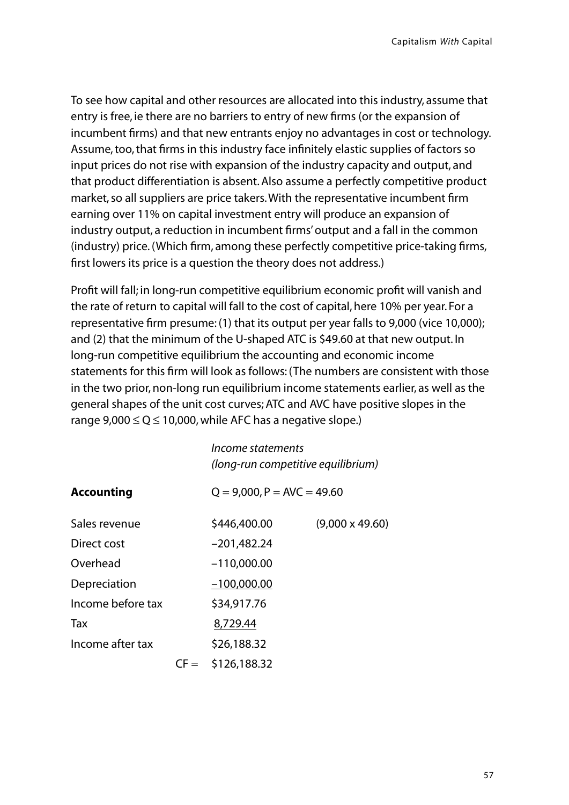To see how capital and other resources are allocated into this industry, assume that entry is free, ie there are no barriers to entry of new firms (or the expansion of incumbent firms) and that new entrants enjoy no advantages in cost or technology. Assume, too, that firms in this industry face infinitely elastic supplies of factors so input prices do not rise with expansion of the industry capacity and output, and that product differentiation is absent. Also assume a perfectly competitive product market, so all suppliers are price takers.With the representative incumbent firm earning over 11% on capital investment entry will produce an expansion of industry output, a reduction in incumbent firms' output and a fall in the common (industry) price. (Which firm, among these perfectly competitive price-taking firms, first lowers its price is a question the theory does not address.)

Profit will fall; in long-run competitive equilibrium economic profit will vanish and the rate of return to capital will fall to the cost of capital, here 10% per year. For a representative firm presume: (1) that its output per year falls to 9,000 (vice 10,000); and (2) that the minimum of the U-shaped ATC is \$49.60 at that new output. In long-run competitive equilibrium the accounting and economic income statements for this firm will look as follows: (The numbers are consistent with those in the two prior, non-long run equilibrium income statements earlier, as well as the general shapes of the unit cost curves; ATC and AVC have positive slopes in the range  $9,000 \le Q \le 10,000$ , while AFC has a negative slope.)

|                   |                            | Income statements<br>(long-run competitive equilibrium) |                        |  |
|-------------------|----------------------------|---------------------------------------------------------|------------------------|--|
| Accounting        |                            | $Q = 9,000$ , $P = AVC = 49.60$                         |                        |  |
| Sales revenue     |                            | \$446,400.00                                            | $(9.000 \times 49.60)$ |  |
| Direct cost       |                            | $-201,482.24$                                           |                        |  |
| Overhead          |                            | $-110,000,00$                                           |                        |  |
| Depreciation      |                            | $-100,000.00$                                           |                        |  |
| Income before tax |                            | \$34,917.76                                             |                        |  |
| Tax               |                            | 8,729.44                                                |                        |  |
| Income after tax  |                            | \$26,188.32                                             |                        |  |
|                   | $\mathsf{CF} = \mathsf{C}$ | \$126,188.32                                            |                        |  |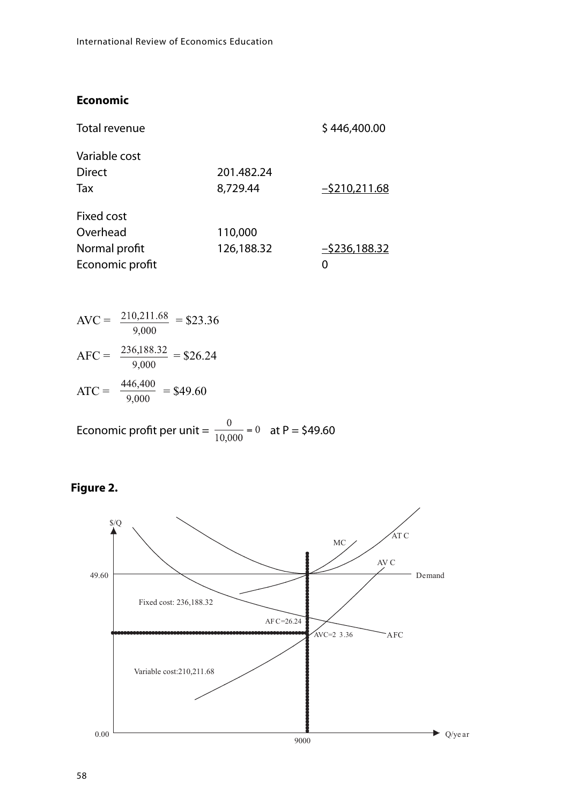#### **Economic**

| Total revenue   |            | \$446,400.00   |
|-----------------|------------|----------------|
| Variable cost   |            |                |
| Direct          | 201.482.24 |                |
| Tax             | 8.729.44   | $-5210,211.68$ |
| Fixed cost      |            |                |
| Overhead        | 110,000    |                |
| Normal profit   | 126,188.32 | $-5236,188.32$ |
| Economic profit |            | 0              |

$$
AVC = \frac{210,211.68}{9,000} = $23.36
$$
  
AFC = 
$$
\frac{236,188.32}{9,000} = $26.24
$$
  
ATC = 
$$
\frac{446,400}{9,000} = $49.60
$$

Economic profit per unit =  $\frac{0}{10,000}$  = 0 at P = \$49.60



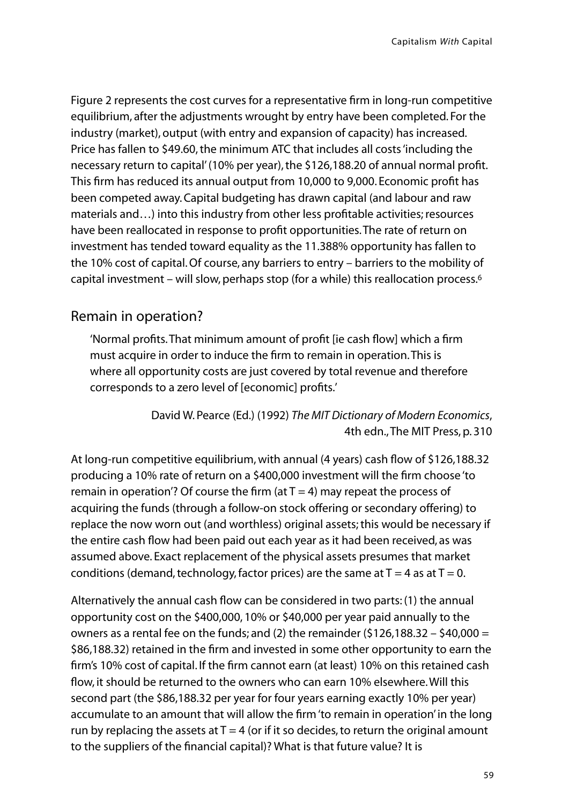Figure 2 represents the cost curves for a representative firm in long-run competitive equilibrium, after the adjustments wrought by entry have been completed. For the industry (market), output (with entry and expansion of capacity) has increased. Price has fallen to \$49.60, the minimum ATC that includes all costs 'including the necessary return to capital' (10% per year), the \$126,188.20 of annual normal profit. This firm has reduced its annual output from 10,000 to 9,000. Economic profit has been competed away. Capital budgeting has drawn capital (and labour and raw materials and…) into this industry from other less profitable activities; resources have been reallocated in response to profit opportunities.The rate of return on investment has tended toward equality as the 11.388% opportunity has fallen to the 10% cost of capital. Of course, any barriers to entry – barriers to the mobility of capital investment – will slow, perhaps stop (for a while) this reallocation process.6

#### Remain in operation?

'Normal profits.That minimum amount of profit [ie cash flow] which a firm must acquire in order to induce the firm to remain in operation.This is where all opportunity costs are just covered by total revenue and therefore corresponds to a zero level of [economic] profits.'

> David W. Pearce (Ed.) (1992) *The MIT Dictionary of Modern Economics*, 4th edn.,The MIT Press, p. 310

At long-run competitive equilibrium, with annual (4 years) cash flow of \$126,188.32 producing a 10% rate of return on a \$400,000 investment will the firm choose 'to remain in operation'? Of course the firm (at  $T = 4$ ) may repeat the process of acquiring the funds (through a follow-on stock offering or secondary offering) to replace the now worn out (and worthless) original assets; this would be necessary if the entire cash flow had been paid out each year as it had been received, as was assumed above. Exact replacement of the physical assets presumes that market conditions (demand, technology, factor prices) are the same at  $T = 4$  as at  $T = 0$ .

Alternatively the annual cash flow can be considered in two parts: (1) the annual opportunity cost on the \$400,000, 10% or \$40,000 per year paid annually to the owners as a rental fee on the funds; and (2) the remainder (\$126,188.32 – \$40,000 = \$86,188.32) retained in the firm and invested in some other opportunity to earn the firm's 10% cost of capital. If the firm cannot earn (at least) 10% on this retained cash flow, it should be returned to the owners who can earn 10% elsewhere.Will this second part (the \$86,188.32 per year for four years earning exactly 10% per year) accumulate to an amount that will allow the firm 'to remain in operation' in the long run by replacing the assets at  $T = 4$  (or if it so decides, to return the original amount to the suppliers of the financial capital)? What is that future value? It is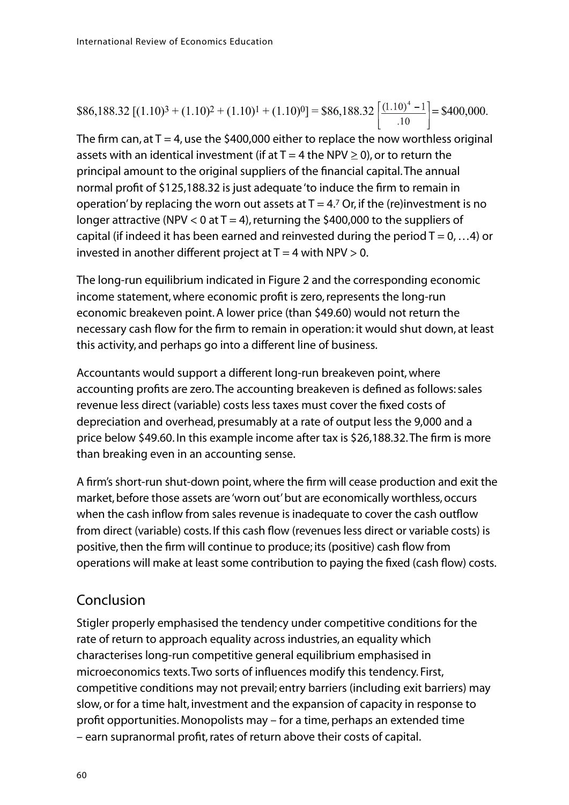\$86,188.32 [(1.10)<sup>3</sup> + (1.10)<sup>2</sup> + (1.10)<sup>1</sup> + (1.10)<sup>0</sup>] = \$86,188.32 
$$
\left[\frac{(1.10)^4 - 1}{.10}\right]
$$
 = \$400,000.

The firm can, at  $T = 4$ , use the \$400,000 either to replace the now worthless original assets with an identical investment (if at  $T = 4$  the NPV  $\geq$  0), or to return the principal amount to the original suppliers of the financial capital.The annual normal profit of \$125,188.32 is just adequate 'to induce the firm to remain in operation' by replacing the worn out assets at  $T = 4.7$  Or, if the (re)investment is no longer attractive (NPV < 0 at T = 4), returning the \$400,000 to the suppliers of capital (if indeed it has been earned and reinvested during the period  $T = 0, \ldots 4$ ) or invested in another different project at  $T = 4$  with NPV  $> 0$ .

The long-run equilibrium indicated in Figure 2 and the corresponding economic income statement, where economic profit is zero, represents the long-run economic breakeven point. A lower price (than \$49.60) would not return the necessary cash flow for the firm to remain in operation: it would shut down, at least this activity, and perhaps go into a different line of business.

Accountants would support a different long-run breakeven point, where accounting profits are zero.The accounting breakeven is defined as follows: sales revenue less direct (variable) costs less taxes must cover the fixed costs of depreciation and overhead, presumably at a rate of output less the 9,000 and a price below \$49.60. In this example income after tax is \$26,188.32.The firm is more than breaking even in an accounting sense.

A firm's short-run shut-down point, where the firm will cease production and exit the market, before those assets are 'worn out' but are economically worthless, occurs when the cash inflow from sales revenue is inadequate to cover the cash outflow from direct (variable) costs. If this cash flow (revenues less direct or variable costs) is positive, then the firm will continue to produce; its (positive) cash flow from operations will make at least some contribution to paying the fixed (cash flow) costs.

# Conclusion

Stigler properly emphasised the tendency under competitive conditions for the rate of return to approach equality across industries, an equality which characterises long-run competitive general equilibrium emphasised in microeconomics texts.Two sorts of influences modify this tendency. First, competitive conditions may not prevail; entry barriers (including exit barriers) may slow, or for a time halt, investment and the expansion of capacity in response to profit opportunities. Monopolists may – for a time, perhaps an extended time – earn supranormal profit, rates of return above their costs of capital.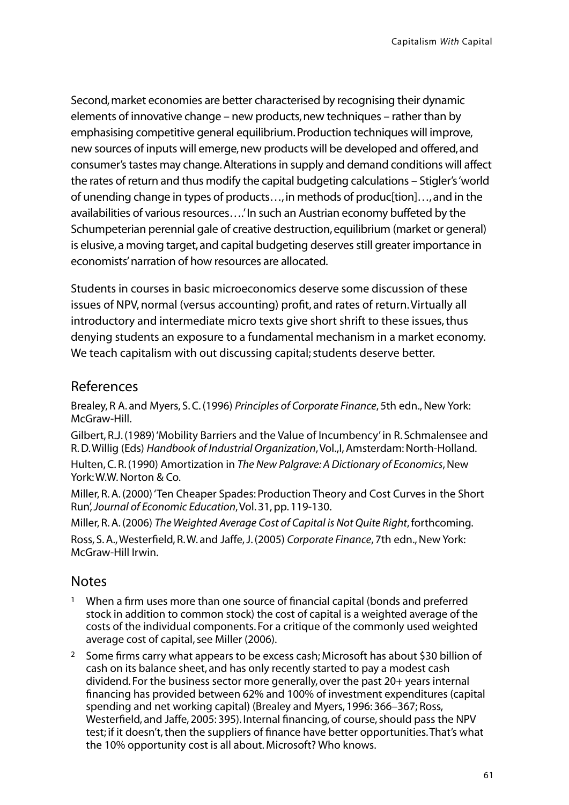Second, market economies are better characterised by recognising their dynamic elements of innovative change – new products, new techniques – rather than by emphasising competitive general equilibrium. Production techniques will improve, new sources of inputs will emerge, new products will be developed and offered, and consumer's tastes may change. Alterations in supply and demand conditions will affect the rates of return and thus modify the capital budgeting calculations – Stigler's 'world of unending change in types of products…, in methods of produc[tion]…, and in the availabilities of various resources….'In such an Austrian economy buffeted by the Schumpeterian perennial gale of creative destruction, equilibrium (market or general) is elusive, a moving target, and capital budgeting deserves still greater importance in economists'narration of how resources are allocated.

Students in courses in basic microeconomics deserve some discussion of these issues of NPV, normal (versus accounting) profit, and rates of return.Virtually all introductory and intermediate micro texts give short shrift to these issues, thus denying students an exposure to a fundamental mechanism in a market economy. We teach capitalism with out discussing capital; students deserve better.

#### References

Brealey, R A. and Myers, S. C. (1996) *Principles of Corporate Finance*, 5th edn., New York: McGraw-Hill.

Gilbert, R.J. (1989) 'Mobility Barriers and the Value of Incumbency' in R. Schmalensee and R. D.Willig (Eds) *Handbook of Industrial Organization*, Vol.,I, Amsterdam: North-Holland. Hulten, C. R. (1990) Amortization in *The New Palgrave: A Dictionary of Economics*, New York: W.W. Norton & Co.

Miller, R. A. (2000) 'Ten Cheaper Spades: Production Theory and Cost Curves in the Short Run',*Journal of Economic Education*,Vol. 31, pp. 119-130.

Miller, R.A.(2006) *The Weighted Average Cost of Capital is Not Quite Right*,forthcoming. Ross, S. A., Westerfield, R.W. and Jaffe, J. (2005) *Corporate Finance*, 7th edn., New York: McGraw-Hill Irwin.

#### Notes

- 1 When a firm uses more than one source of financial capital (bonds and preferred stock in addition to common stock) the cost of capital is a weighted average of the costs of the individual components. For a critique of the commonly used weighted average cost of capital, see Miller (2006).
- <sup>2</sup> Some firms carry what appears to be excess cash; Microsoft has about \$30 billion of cash on its balance sheet, and has only recently started to pay a modest cash dividend. For the business sector more generally, over the past 20+ years internal financing has provided between 62% and 100% of investment expenditures (capital spending and net working capital) (Brealey and Myers, 1996: 366–367; Ross, Westerfield, and Jaffe, 2005: 395). Internal financing, of course, should pass the NPV test; if it doesn't, then the suppliers of finance have better opportunities.That's what the 10% opportunity cost is all about. Microsoft? Who knows.